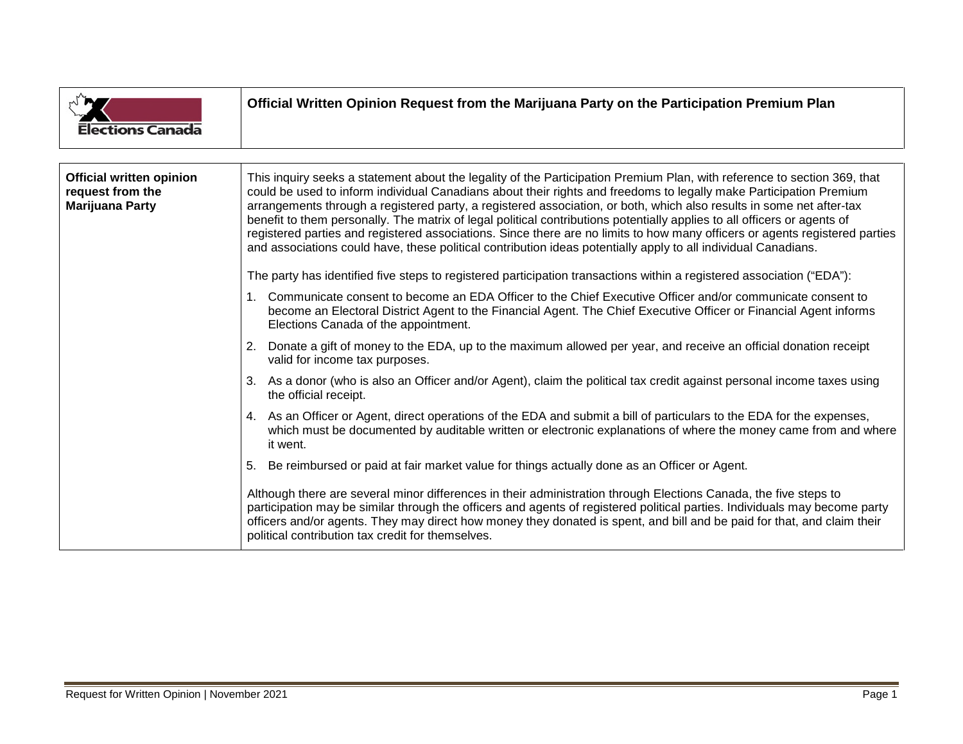| <b>Elections Canada</b>                                                       | Official Written Opinion Request from the Marijuana Party on the Participation Premium Plan                                                                                                                                                                                                                                                                                                                                                                                                                                                                                                                                                                                                                                                         |
|-------------------------------------------------------------------------------|-----------------------------------------------------------------------------------------------------------------------------------------------------------------------------------------------------------------------------------------------------------------------------------------------------------------------------------------------------------------------------------------------------------------------------------------------------------------------------------------------------------------------------------------------------------------------------------------------------------------------------------------------------------------------------------------------------------------------------------------------------|
|                                                                               |                                                                                                                                                                                                                                                                                                                                                                                                                                                                                                                                                                                                                                                                                                                                                     |
| <b>Official written opinion</b><br>request from the<br><b>Marijuana Party</b> | This inquiry seeks a statement about the legality of the Participation Premium Plan, with reference to section 369, that<br>could be used to inform individual Canadians about their rights and freedoms to legally make Participation Premium<br>arrangements through a registered party, a registered association, or both, which also results in some net after-tax<br>benefit to them personally. The matrix of legal political contributions potentially applies to all officers or agents of<br>registered parties and registered associations. Since there are no limits to how many officers or agents registered parties<br>and associations could have, these political contribution ideas potentially apply to all individual Canadians. |
|                                                                               | The party has identified five steps to registered participation transactions within a registered association ("EDA"):                                                                                                                                                                                                                                                                                                                                                                                                                                                                                                                                                                                                                               |
|                                                                               | 1. Communicate consent to become an EDA Officer to the Chief Executive Officer and/or communicate consent to<br>become an Electoral District Agent to the Financial Agent. The Chief Executive Officer or Financial Agent informs<br>Elections Canada of the appointment.                                                                                                                                                                                                                                                                                                                                                                                                                                                                           |
|                                                                               | Donate a gift of money to the EDA, up to the maximum allowed per year, and receive an official donation receipt<br>2.<br>valid for income tax purposes.                                                                                                                                                                                                                                                                                                                                                                                                                                                                                                                                                                                             |
|                                                                               | 3. As a donor (who is also an Officer and/or Agent), claim the political tax credit against personal income taxes using<br>the official receipt.                                                                                                                                                                                                                                                                                                                                                                                                                                                                                                                                                                                                    |
|                                                                               | As an Officer or Agent, direct operations of the EDA and submit a bill of particulars to the EDA for the expenses,<br>4.<br>which must be documented by auditable written or electronic explanations of where the money came from and where<br>it went.                                                                                                                                                                                                                                                                                                                                                                                                                                                                                             |
|                                                                               | Be reimbursed or paid at fair market value for things actually done as an Officer or Agent.<br>5.                                                                                                                                                                                                                                                                                                                                                                                                                                                                                                                                                                                                                                                   |
|                                                                               | Although there are several minor differences in their administration through Elections Canada, the five steps to<br>participation may be similar through the officers and agents of registered political parties. Individuals may become party<br>officers and/or agents. They may direct how money they donated is spent, and bill and be paid for that, and claim their<br>political contribution tax credit for themselves.                                                                                                                                                                                                                                                                                                                      |